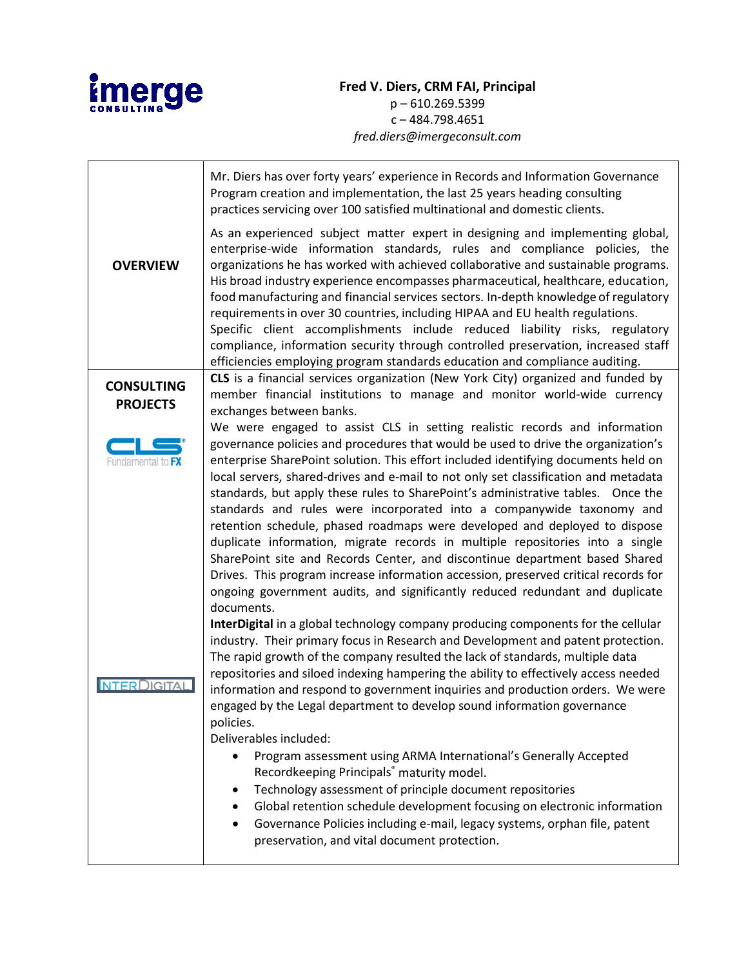

## **Fred V. Diers, CRM FAI, Principal** p – 610.269.5399 c – 484.798.4651 *fred.diers@imergeconsult.com*

|                                      | Mr. Diers has over forty years' experience in Records and Information Governance<br>Program creation and implementation, the last 25 years heading consulting<br>practices servicing over 100 satisfied multinational and domestic clients.                                                                                                                                                                                                                                                                                                                                                                                                                                                                                                                    |
|--------------------------------------|----------------------------------------------------------------------------------------------------------------------------------------------------------------------------------------------------------------------------------------------------------------------------------------------------------------------------------------------------------------------------------------------------------------------------------------------------------------------------------------------------------------------------------------------------------------------------------------------------------------------------------------------------------------------------------------------------------------------------------------------------------------|
| <b>OVERVIEW</b>                      | As an experienced subject matter expert in designing and implementing global,<br>enterprise-wide information standards, rules and compliance policies, the<br>organizations he has worked with achieved collaborative and sustainable programs.<br>His broad industry experience encompasses pharmaceutical, healthcare, education,<br>food manufacturing and financial services sectors. In-depth knowledge of regulatory<br>requirements in over 30 countries, including HIPAA and EU health regulations.<br>Specific client accomplishments include reduced liability risks, regulatory<br>compliance, information security through controlled preservation, increased staff<br>efficiencies employing program standards education and compliance auditing. |
| <b>CONSULTING</b><br><b>PROJECTS</b> | CLS is a financial services organization (New York City) organized and funded by<br>member financial institutions to manage and monitor world-wide currency<br>exchanges between banks.                                                                                                                                                                                                                                                                                                                                                                                                                                                                                                                                                                        |
| Fundamental to FX                    | We were engaged to assist CLS in setting realistic records and information<br>governance policies and procedures that would be used to drive the organization's<br>enterprise SharePoint solution. This effort included identifying documents held on<br>local servers, shared-drives and e-mail to not only set classification and metadata<br>standards, but apply these rules to SharePoint's administrative tables. Once the                                                                                                                                                                                                                                                                                                                               |
|                                      | standards and rules were incorporated into a companywide taxonomy and<br>retention schedule, phased roadmaps were developed and deployed to dispose<br>duplicate information, migrate records in multiple repositories into a single<br>SharePoint site and Records Center, and discontinue department based Shared<br>Drives. This program increase information accession, preserved critical records for<br>ongoing government audits, and significantly reduced redundant and duplicate<br>documents.                                                                                                                                                                                                                                                       |
| <b>NTERDIGITAL</b>                   | InterDigital in a global technology company producing components for the cellular<br>industry. Their primary focus in Research and Development and patent protection.<br>The rapid growth of the company resulted the lack of standards, multiple data<br>repositories and siloed indexing hampering the ability to effectively access needed<br>information and respond to government inquiries and production orders. We were<br>engaged by the Legal department to develop sound information governance<br>policies.<br>Deliverables included:                                                                                                                                                                                                              |
|                                      | Program assessment using ARMA International's Generally Accepted<br>Recordkeeping Principals® maturity model.<br>Technology assessment of principle document repositories<br>٠<br>Global retention schedule development focusing on electronic information<br>Governance Policies including e-mail, legacy systems, orphan file, patent<br>٠<br>preservation, and vital document protection.                                                                                                                                                                                                                                                                                                                                                                   |